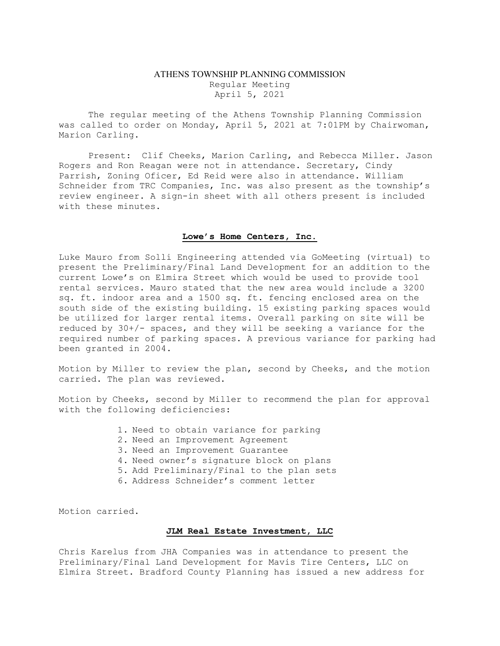# ATHENS TOWNSHIP PLANNING COMMISSION Regular Meeting April 5, 2021

The regular meeting of the Athens Township Planning Commission was called to order on Monday, April 5, 2021 at 7:01PM by Chairwoman, Marion Carling.

Present: Clif Cheeks, Marion Carling, and Rebecca Miller. Jason Rogers and Ron Reagan were not in attendance. Secretary, Cindy Parrish, Zoning Oficer, Ed Reid were also in attendance. William Schneider from TRC Companies, Inc. was also present as the township's review engineer. A sign-in sheet with all others present is included with these minutes.

### Lowe's Home Centers, Inc.

Luke Mauro from Solli Engineering attended via GoMeeting (virtual) to present the Preliminary/Final Land Development for an addition to the current Lowe's on Elmira Street which would be used to provide tool rental services. Mauro stated that the new area would include a 3200 sq. ft. indoor area and a 1500 sq. ft. fencing enclosed area on the south side of the existing building. 15 existing parking spaces would be utilized for larger rental items. Overall parking on site will be reduced by  $30+/-$  spaces, and they will be seeking a variance for the required number of parking spaces. A previous variance for parking had been granted in 2004.

Motion by Miller to review the plan, second by Cheeks, and the motion carried. The plan was reviewed.

Motion by Cheeks, second by Miller to recommend the plan for approval with the following deficiencies:

- 1. Need to obtain variance for parking
- 2. Need an Improvement Agreement
- 3. Need an Improvement Guarantee
- 4. Need owner's signature block on plans
- 5. Add Preliminary/Final to the plan sets
- 6. Address Schneider's comment letter

Motion carried.

#### JLM Real Estate Investment, LLC

Chris Karelus from JHA Companies was in attendance to present the Preliminary/Final Land Development for Mavis Tire Centers, LLC on Elmira Street. Bradford County Planning has issued a new address for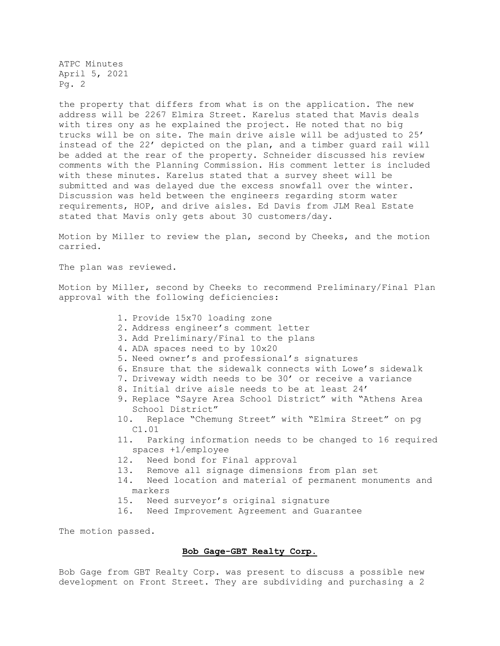ATPC Minutes April 5, 2021 Pg. 2

the property that differs from what is on the application. The new address will be 2267 Elmira Street. Karelus stated that Mavis deals with tires ony as he explained the project. He noted that no big trucks will be on site. The main drive aisle will be adjusted to 25' instead of the 22' depicted on the plan, and a timber guard rail will be added at the rear of the property. Schneider discussed his review comments with the Planning Commission. His comment letter is included with these minutes. Karelus stated that a survey sheet will be submitted and was delayed due the excess snowfall over the winter. Discussion was held between the engineers regarding storm water requirements, HOP, and drive aisles. Ed Davis from JLM Real Estate stated that Mavis only gets about 30 customers/day.

Motion by Miller to review the plan, second by Cheeks, and the motion carried.

The plan was reviewed.

Motion by Miller, second by Cheeks to recommend Preliminary/Final Plan approval with the following deficiencies:

- 1. Provide 15x70 loading zone
- 2. Address engineer's comment letter
- 3. Add Preliminary/Final to the plans
- 4. ADA spaces need to by 10x20
- 5. Need owner's and professional's signatures
- 6. Ensure that the sidewalk connects with Lowe's sidewalk
- 7. Driveway width needs to be 30' or receive a variance
- 8. Initial drive aisle needs to be at least 24'
- 9. Replace "Sayre Area School District" with "Athens Area School District"
- 10. Replace "Chemung Street" with "Elmira Street" on pg C1.01
- 11. Parking information needs to be changed to 16 required spaces +1/employee
- 12. Need bond for Final approval
- 13. Remove all signage dimensions from plan set
- 14. Need location and material of permanent monuments and markers
- 15. Need surveyor's original signature
- 16. Need Improvement Agreement and Guarantee

The motion passed.

# Bob Gage-GBT Realty Corp.

Bob Gage from GBT Realty Corp. was present to discuss a possible new development on Front Street. They are subdividing and purchasing a 2